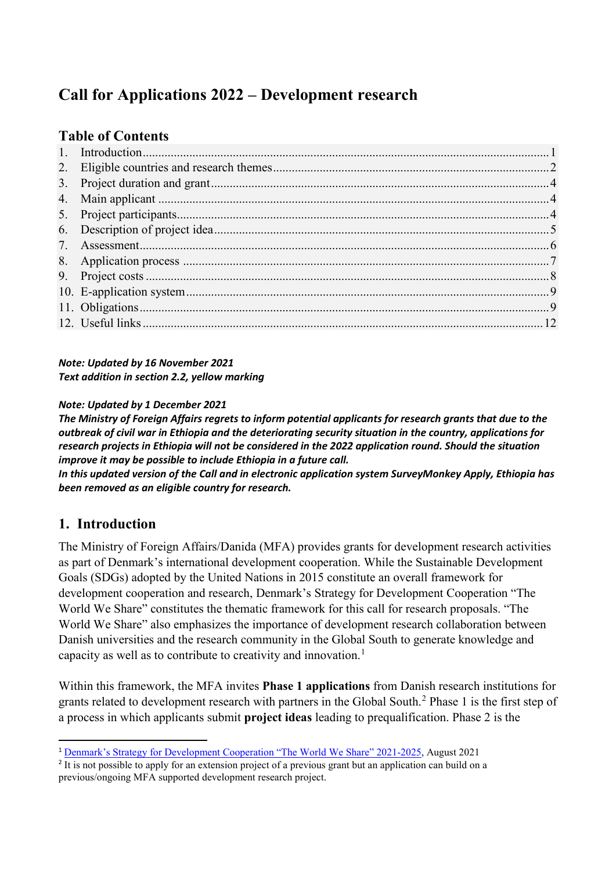# **Call for Applications 2022 – Development research**

## **Table of Contents**

*Note: Updated by 16 November 2021 Text addition in section 2.2, yellow marking* 

#### *Note: Updated by 1 December 2021*

*The Ministry of Foreign Affairs regrets to inform potential applicants for research grants that due to the outbreak of civil war in Ethiopia and the deteriorating security situation in the country, applications for research projects in Ethiopia will not be considered in the 2022 application round. Should the situation improve it may be possible to include Ethiopia in a future call.*

*In this updated version of the Call and in electronic application system SurveyMonkey Apply, Ethiopia has been removed as an eligible country for research.* 

## <span id="page-0-0"></span>**1. Introduction**

The Ministry of Foreign Affairs/Danida (MFA) provides grants for development research activities as part of Denmark's international development cooperation. While the Sustainable Development Goals (SDGs) adopted by the United Nations in 2015 constitute an overall framework for development cooperation and research, Denmark's Strategy for Development Cooperation "The World We Share" constitutes the thematic framework for this call for research proposals. "The World We Share" also emphasizes the importance of development research collaboration between Danish universities and the research community in the Global South to generate knowledge and capacity as well as to contribute to creativity and innovation.<sup>[1](#page-0-1)</sup>

Within this framework, the MFA invites **Phase 1 applications** from Danish research institutions for grants related to development research with partners in the Global South.[2](#page-0-2) Phase 1 is the first step of a process in which applicants submit **project ideas** leading to prequalification. Phase 2 is the

<span id="page-0-1"></span> <sup>1</sup> [Denmark's Strategy for Development Cooperation "The World We Share" 2021-2025,](https://um.dk/en/news/newsdisplaypage/?newsID=F401381F-A342-4D38-AA4F-B10A312A6287) August 2021

<span id="page-0-2"></span><sup>&</sup>lt;sup>2</sup> It is not possible to apply for an extension project of a previous grant but an application can build on a previous/ongoing MFA supported development research project.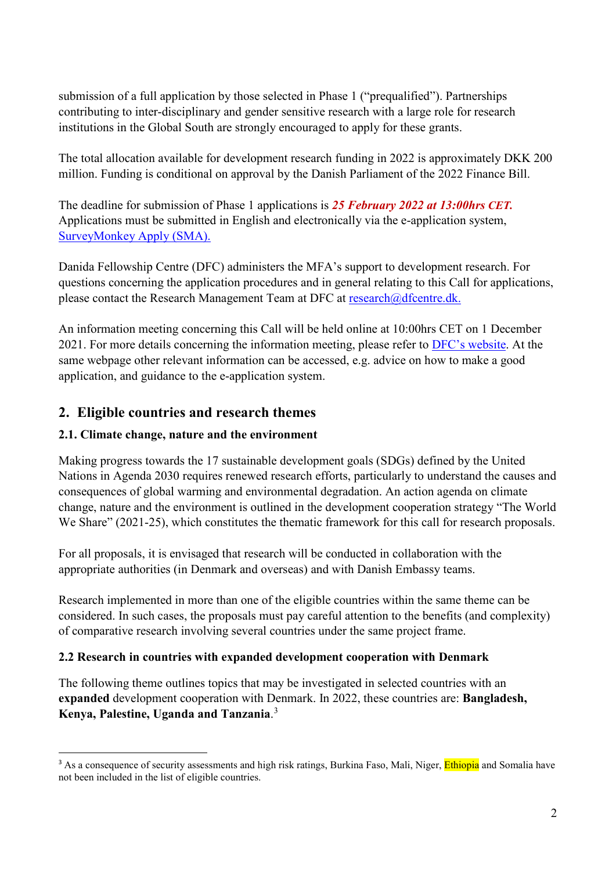submission of a full application by those selected in Phase 1 ("prequalified"). Partnerships contributing to inter-disciplinary and gender sensitive research with a large role for research institutions in the Global South are strongly encouraged to apply for these grants.

The total allocation available for development research funding in 2022 is approximately DKK 200 million. Funding is conditional on approval by the Danish Parliament of the 2022 Finance Bill.

The deadline for submission of Phase 1 applications is *25 February 2022 at 13:00hrs CET.* Applications must be submitted in English and electronically via the e-application system, [SurveyMonkey](https://dfcentre.smapply.io/acc/r/?g=80679) Apply (SMA).

Danida Fellowship Centre (DFC) administers the MFA's support to development research. For questions concerning the application procedures and in general relating to this Call for applications, please contact the Research Management Team at DFC at [research@dfcentre.dk.](mailto:research@dfcentre.dk)

An information meeting concerning this Call will be held online at 10:00hrs CET on 1 December 2021. For more details concerning the information meeting, please refer to [DFC's website.](https://dfcentre.com/research/calls/) At the same webpage other relevant information can be accessed, e.g. advice on how to make a good application, and guidance to the e-application system.

## <span id="page-1-0"></span>**2. Eligible countries and research themes**

#### **2.1. Climate change, nature and the environment**

Making progress towards the 17 sustainable development goals (SDGs) defined by the United Nations in Agenda 2030 requires renewed research efforts, particularly to understand the causes and consequences of global warming and environmental degradation. An action agenda on climate change, nature and the environment is outlined in the development cooperation strategy "The World We Share" (2021-25), which constitutes the thematic framework for this call for research proposals.

For all proposals, it is envisaged that research will be conducted in collaboration with the appropriate authorities (in Denmark and overseas) and with Danish Embassy teams.

Research implemented in more than one of the eligible countries within the same theme can be considered. In such cases, the proposals must pay careful attention to the benefits (and complexity) of comparative research involving several countries under the same project frame.

#### **2.2 Research in countries with expanded development cooperation with Denmark**

The following theme outlines topics that may be investigated in selected countries with an **expanded** development cooperation with Denmark. In 2022, these countries are: **Bangladesh, Kenya, Palestine, Uganda and Tanzania**. [3](#page-1-1)

<span id="page-1-1"></span><sup>&</sup>lt;sup>3</sup> As a consequence of security assessments and high risk ratings, Burkina Faso, Mali, Niger, Ethiopia and Somalia have not been included in the list of eligible countries.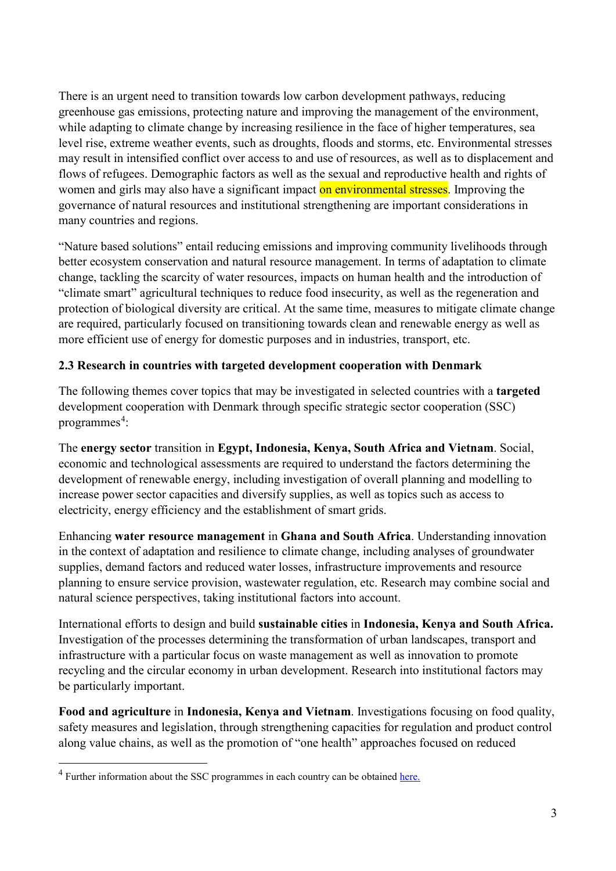There is an urgent need to transition towards low carbon development pathways, reducing greenhouse gas emissions, protecting nature and improving the management of the environment, while adapting to climate change by increasing resilience in the face of higher temperatures, sea level rise, extreme weather events, such as droughts, floods and storms, etc. Environmental stresses may result in intensified conflict over access to and use of resources, as well as to displacement and flows of refugees. Demographic factors as well as the sexual and reproductive health and rights of women and girls may also have a significant impact on environmental stresses. Improving the governance of natural resources and institutional strengthening are important considerations in many countries and regions.

"Nature based solutions" entail reducing emissions and improving community livelihoods through better ecosystem conservation and natural resource management. In terms of adaptation to climate change, tackling the scarcity of water resources, impacts on human health and the introduction of "climate smart" agricultural techniques to reduce food insecurity, as well as the regeneration and protection of biological diversity are critical. At the same time, measures to mitigate climate change are required, particularly focused on transitioning towards clean and renewable energy as well as more efficient use of energy for domestic purposes and in industries, transport, etc.

#### **2.3 Research in countries with targeted development cooperation with Denmark**

The following themes cover topics that may be investigated in selected countries with a **targeted** development cooperation with Denmark through specific strategic sector cooperation (SSC) programmes<sup>[4](#page-2-0)</sup>:

The **energy sector** transition in **Egypt, Indonesia, Kenya, South Africa and Vietnam**. Social, economic and technological assessments are required to understand the factors determining the development of renewable energy, including investigation of overall planning and modelling to increase power sector capacities and diversify supplies, as well as topics such as access to electricity, energy efficiency and the establishment of smart grids.

Enhancing **water resource management** in **Ghana and South Africa**. Understanding innovation in the context of adaptation and resilience to climate change, including analyses of groundwater supplies, demand factors and reduced water losses, infrastructure improvements and resource planning to ensure service provision, wastewater regulation, etc. Research may combine social and natural science perspectives, taking institutional factors into account.

International efforts to design and build **sustainable cities** in **Indonesia, Kenya and South Africa.** Investigation of the processes determining the transformation of urban landscapes, transport and infrastructure with a particular focus on waste management as well as innovation to promote recycling and the circular economy in urban development. Research into institutional factors may be particularly important.

**Food and agriculture** in **Indonesia, Kenya and Vietnam**. Investigations focusing on food quality, safety measures and legislation, through strengthening capacities for regulation and product control along value chains, as well as the promotion of "one health" approaches focused on reduced

 $\overline{a}$ 

<span id="page-2-0"></span><sup>&</sup>lt;sup>4</sup> Further information about the SSC programmes in each country can be obtained [here.](https://um.dk/en/danida-en/Sustainable%20Growth/strategic-sector-cooperation-new/list-of-strategic-sector-cooperation-projects)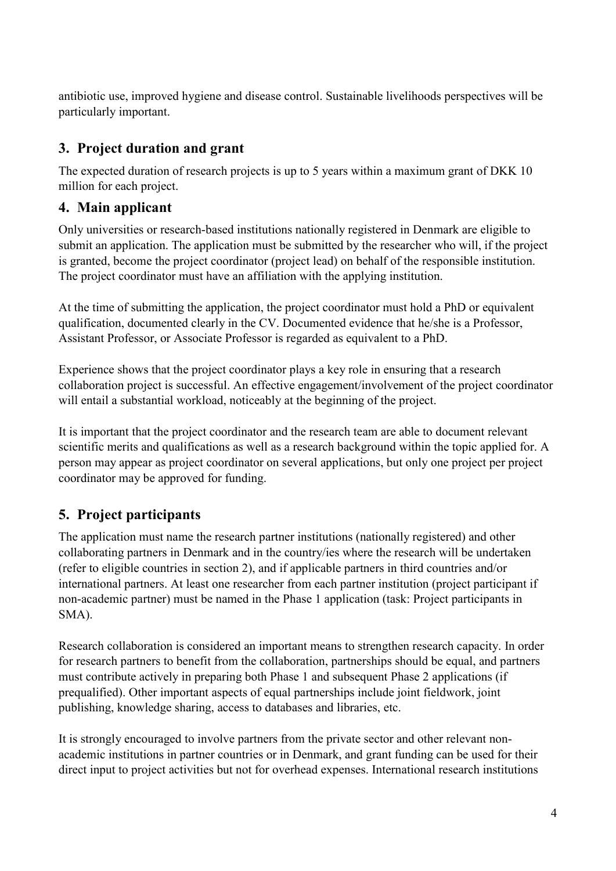antibiotic use, improved hygiene and disease control. Sustainable livelihoods perspectives will be particularly important.

# <span id="page-3-0"></span>**3. Project duration and grant**

The expected duration of research projects is up to 5 years within a maximum grant of DKK 10 million for each project.

# <span id="page-3-1"></span>**4. Main applicant**

Only universities or research-based institutions nationally registered in Denmark are eligible to submit an application. The application must be submitted by the researcher who will, if the project is granted, become the project coordinator (project lead) on behalf of the responsible institution. The project coordinator must have an affiliation with the applying institution.

At the time of submitting the application, the project coordinator must hold a PhD or equivalent qualification, documented clearly in the CV. Documented evidence that he/she is a Professor, Assistant Professor, or Associate Professor is regarded as equivalent to a PhD.

Experience shows that the project coordinator plays a key role in ensuring that a research collaboration project is successful. An effective engagement/involvement of the project coordinator will entail a substantial workload, noticeably at the beginning of the project.

It is important that the project coordinator and the research team are able to document relevant scientific merits and qualifications as well as a research background within the topic applied for. A person may appear as project coordinator on several applications, but only one project per project coordinator may be approved for funding.

# <span id="page-3-2"></span>**5. Project participants**

The application must name the research partner institutions (nationally registered) and other collaborating partners in Denmark and in the country/ies where the research will be undertaken (refer to eligible countries in section 2), and if applicable partners in third countries and/or international partners. At least one researcher from each partner institution (project participant if non-academic partner) must be named in the Phase 1 application (task: Project participants in SMA).

Research collaboration is considered an important means to strengthen research capacity. In order for research partners to benefit from the collaboration, partnerships should be equal, and partners must contribute actively in preparing both Phase 1 and subsequent Phase 2 applications (if prequalified). Other important aspects of equal partnerships include joint fieldwork, joint publishing, knowledge sharing, access to databases and libraries, etc.

It is strongly encouraged to involve partners from the private sector and other relevant nonacademic institutions in partner countries or in Denmark, and grant funding can be used for their direct input to project activities but not for overhead expenses. International research institutions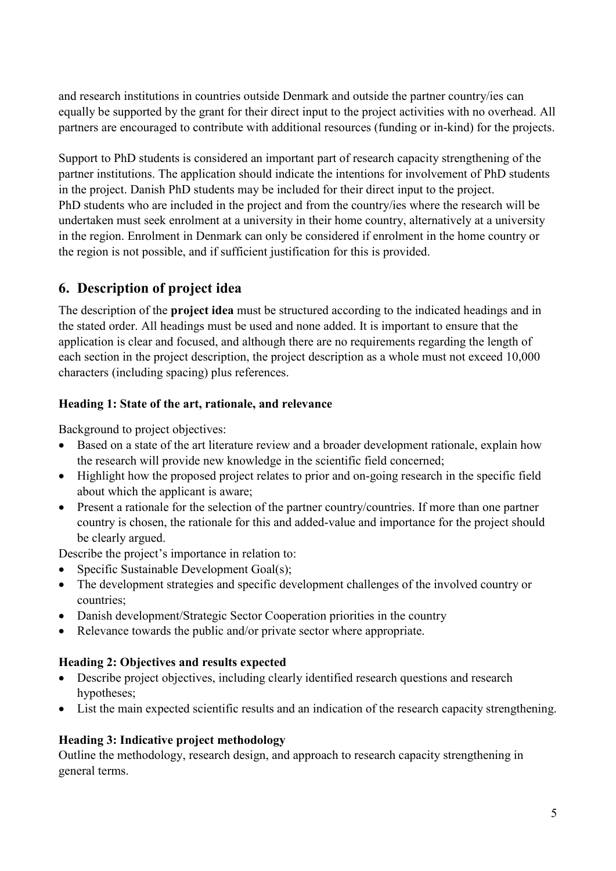and research institutions in countries outside Denmark and outside the partner country/ies can equally be supported by the grant for their direct input to the project activities with no overhead. All partners are encouraged to contribute with additional resources (funding or in-kind) for the projects.

Support to PhD students is considered an important part of research capacity strengthening of the partner institutions. The application should indicate the intentions for involvement of PhD students in the project. Danish PhD students may be included for their direct input to the project. PhD students who are included in the project and from the country/ies where the research will be undertaken must seek enrolment at a university in their home country, alternatively at a university in the region. Enrolment in Denmark can only be considered if enrolment in the home country or the region is not possible, and if sufficient justification for this is provided.

# <span id="page-4-0"></span>**6. Description of project idea**

The description of the **project idea** must be structured according to the indicated headings and in the stated order. All headings must be used and none added. It is important to ensure that the application is clear and focused, and although there are no requirements regarding the length of each section in the project description, the project description as a whole must not exceed 10,000 characters (including spacing) plus references.

## **Heading 1: State of the art, rationale, and relevance**

Background to project objectives:

- Based on a state of the art literature review and a broader development rationale, explain how the research will provide new knowledge in the scientific field concerned;
- Highlight how the proposed project relates to prior and on-going research in the specific field about which the applicant is aware;
- Present a rationale for the selection of the partner country/countries. If more than one partner country is chosen, the rationale for this and added-value and importance for the project should be clearly argued.

Describe the project's importance in relation to:

- Specific Sustainable Development Goal(s);
- The development strategies and specific development challenges of the involved country or countries;
- Danish development/Strategic Sector Cooperation priorities in the country
- Relevance towards the public and/or private sector where appropriate.

## **Heading 2: Objectives and results expected**

- Describe project objectives, including clearly identified research questions and research hypotheses;
- List the main expected scientific results and an indication of the research capacity strengthening.

## **Heading 3: Indicative project methodology**

Outline the methodology, research design, and approach to research capacity strengthening in general terms.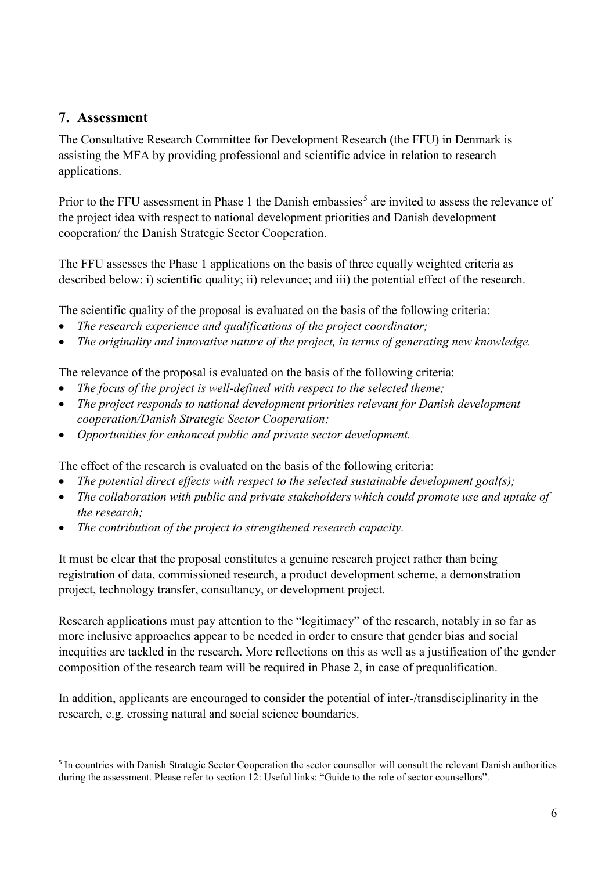## <span id="page-5-0"></span>**7. Assessment**

The Consultative Research Committee for Development Research (the FFU) in Denmark is assisting the MFA by providing professional and scientific advice in relation to research applications.

Prior to the FFU assessment in Phase 1 the Danish embassies<sup>[5](#page-5-1)</sup> are invited to assess the relevance of the project idea with respect to national development priorities and Danish development cooperation/ the Danish Strategic Sector Cooperation.

The FFU assesses the Phase 1 applications on the basis of three equally weighted criteria as described below: i) scientific quality; ii) relevance; and iii) the potential effect of the research.

The scientific quality of the proposal is evaluated on the basis of the following criteria:

- *The research experience and qualifications of the project coordinator;*
- *The originality and innovative nature of the project, in terms of generating new knowledge.*

The relevance of the proposal is evaluated on the basis of the following criteria:

- *The focus of the project is well-defined with respect to the selected theme;*
- *The project responds to national development priorities relevant for Danish development cooperation/Danish Strategic Sector Cooperation;*
- *Opportunities for enhanced public and private sector development.*

The effect of the research is evaluated on the basis of the following criteria:

- *The potential direct effects with respect to the selected sustainable development goal(s);*
- *The collaboration with public and private stakeholders which could promote use and uptake of the research;*
- *The contribution of the project to strengthened research capacity.*

It must be clear that the proposal constitutes a genuine research project rather than being registration of data, commissioned research, a product development scheme, a demonstration project, technology transfer, consultancy, or development project.

Research applications must pay attention to the "legitimacy" of the research, notably in so far as more inclusive approaches appear to be needed in order to ensure that gender bias and social inequities are tackled in the research. More reflections on this as well as a justification of the gender composition of the research team will be required in Phase 2, in case of prequalification.

In addition, applicants are encouraged to consider the potential of inter-/transdisciplinarity in the research, e.g. crossing natural and social science boundaries.

<span id="page-5-1"></span> <sup>5</sup> In countries with Danish Strategic Sector Cooperation the sector counsellor will consult the relevant Danish authorities during the assessment. Please refer to section 12: Useful links: "Guide to the role of sector counsellors".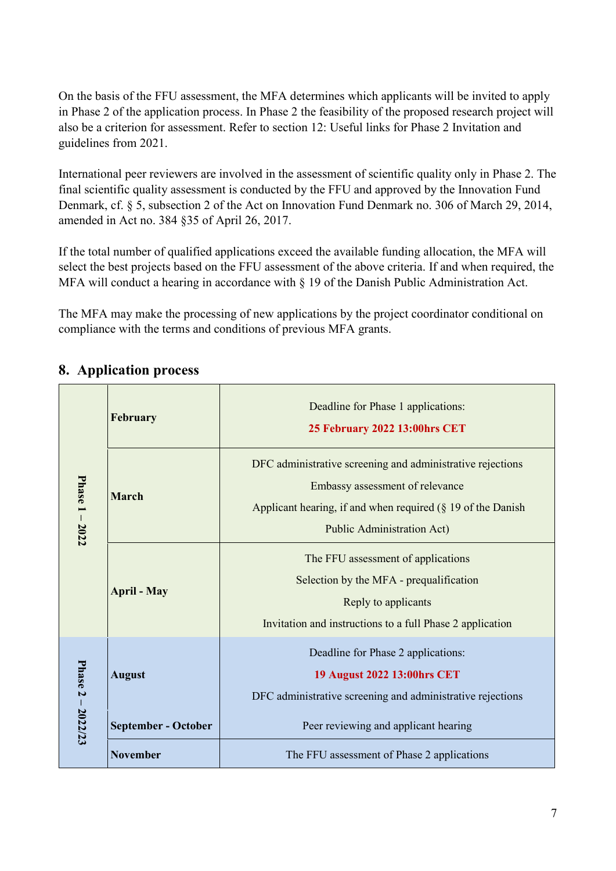On the basis of the FFU assessment, the MFA determines which applicants will be invited to apply in Phase 2 of the application process. In Phase 2 the feasibility of the proposed research project will also be a criterion for assessment. Refer to section 12: Useful links for Phase 2 Invitation and guidelines from 2021.

International peer reviewers are involved in the assessment of scientific quality only in Phase 2. The final scientific quality assessment is conducted by the FFU and approved by the Innovation Fund Denmark, cf. § 5, subsection 2 of the Act on Innovation Fund Denmark no. 306 of March 29, 2014, amended in Act no. 384 §35 of April 26, 2017.

If the total number of qualified applications exceed the available funding allocation, the MFA will select the best projects based on the FFU assessment of the above criteria. If and when required, the MFA will conduct a hearing in accordance with § 19 of the Danish Public Administration Act.

The MFA may make the processing of new applications by the project coordinator conditional on compliance with the terms and conditions of previous MFA grants.

|                   | February                   | Deadline for Phase 1 applications:<br>25 February 2022 13:00hrs CET                                                                                                                                  |
|-------------------|----------------------------|------------------------------------------------------------------------------------------------------------------------------------------------------------------------------------------------------|
| Phase 1 - 2022    | <b>March</b>               | DFC administrative screening and administrative rejections<br>Embassy assessment of relevance<br>Applicant hearing, if and when required $(\S 19$ of the Danish<br><b>Public Administration Act)</b> |
|                   | <b>April - May</b>         | The FFU assessment of applications<br>Selection by the MFA - prequalification<br>Reply to applicants<br>Invitation and instructions to a full Phase 2 application                                    |
| Phase 2 - 2022/23 | <b>August</b>              | Deadline for Phase 2 applications:<br>19 August 2022 13:00hrs CET<br>DFC administrative screening and administrative rejections                                                                      |
|                   | <b>September - October</b> | Peer reviewing and applicant hearing                                                                                                                                                                 |
|                   | <b>November</b>            | The FFU assessment of Phase 2 applications                                                                                                                                                           |

# <span id="page-6-0"></span>**8. Application process**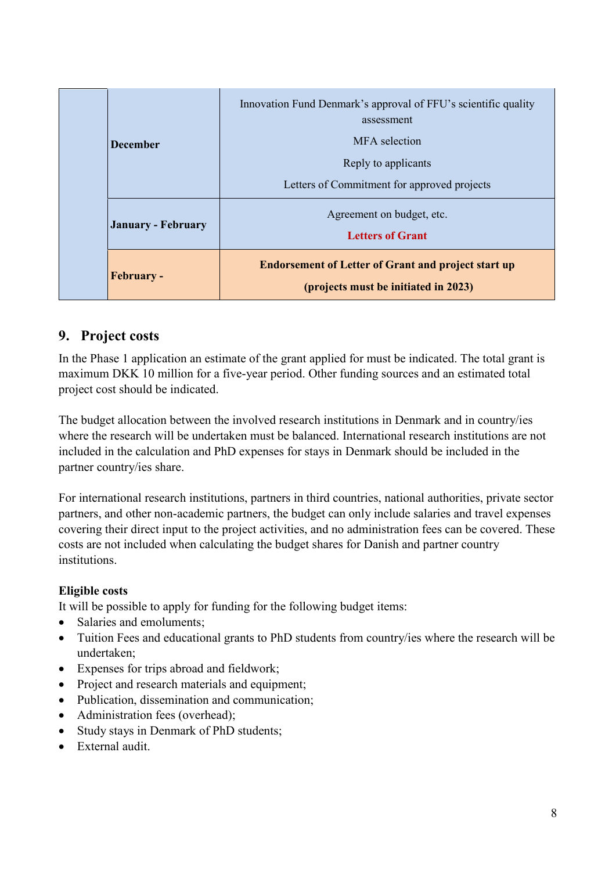| <b>December</b>           | Innovation Fund Denmark's approval of FFU's scientific quality<br>assessment<br>MFA selection<br>Reply to applicants<br>Letters of Commitment for approved projects |
|---------------------------|---------------------------------------------------------------------------------------------------------------------------------------------------------------------|
| <b>January - February</b> | Agreement on budget, etc.<br><b>Letters of Grant</b>                                                                                                                |
| <b>February -</b>         | <b>Endorsement of Letter of Grant and project start up</b><br>(projects must be initiated in 2023)                                                                  |

## <span id="page-7-0"></span>**9. Project costs**

In the Phase 1 application an estimate of the grant applied for must be indicated. The total grant is maximum DKK 10 million for a five-year period. Other funding sources and an estimated total project cost should be indicated.

The budget allocation between the involved research institutions in Denmark and in country/ies where the research will be undertaken must be balanced. International research institutions are not included in the calculation and PhD expenses for stays in Denmark should be included in the partner country/ies share.

For international research institutions, partners in third countries, national authorities, private sector partners, and other non-academic partners, the budget can only include salaries and travel expenses covering their direct input to the project activities, and no administration fees can be covered. These costs are not included when calculating the budget shares for Danish and partner country institutions.

## **Eligible costs**

It will be possible to apply for funding for the following budget items:

- Salaries and emoluments:
- Tuition Fees and educational grants to PhD students from country/ies where the research will be undertaken;
- Expenses for trips abroad and fieldwork;
- Project and research materials and equipment;
- Publication, dissemination and communication;
- Administration fees (overhead);
- Study stays in Denmark of PhD students:
- External audit.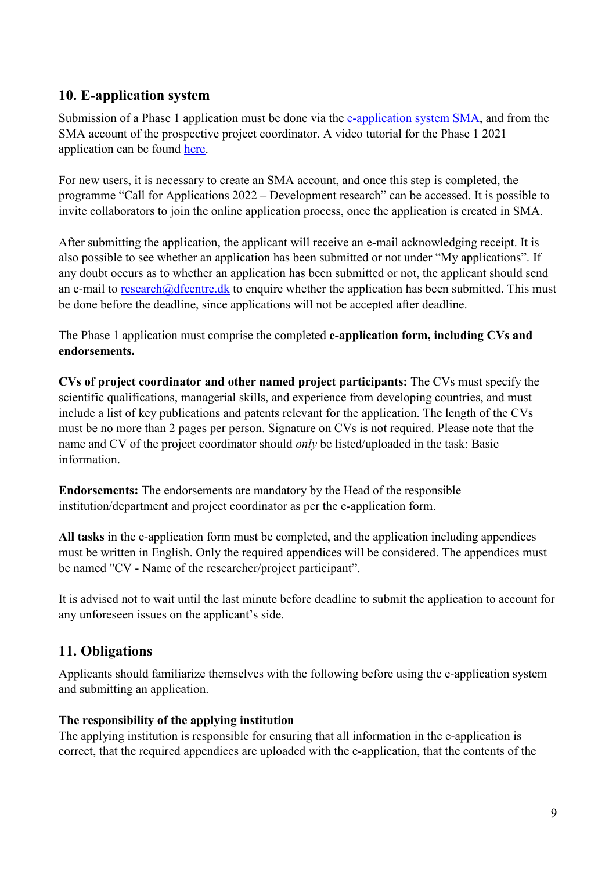## <span id="page-8-0"></span>**10. E-application system**

Submission of a Phase 1 application must be done via the [e-application system](https://dfcentre.smapply.io/acc/r/?g=80679) SMA, and from the SMA account of the prospective project coordinator. A video tutorial for the Phase 1 2021 application can be found [here.](https://youtu.be/tj8YTAt8nkw)

For new users, it is necessary to create an SMA account, and once this step is completed, the programme "Call for Applications 2022 – Development research" can be accessed. It is possible to invite collaborators to join the online application process, once the application is created in SMA.

After submitting the application, the applicant will receive an e-mail acknowledging receipt. It is also possible to see whether an application has been submitted or not under "My applications". If any doubt occurs as to whether an application has been submitted or not, the applicant should send an e-mail to [research@dfcentre.dk](mailto:research@dfcentre.dk) to enquire whether the application has been submitted. This must be done before the deadline, since applications will not be accepted after deadline.

The Phase 1 application must comprise the completed **e-application form, including CVs and endorsements.**

**CVs of project coordinator and other named project participants:** The CVs must specify the scientific qualifications, managerial skills, and experience from developing countries, and must include a list of key publications and patents relevant for the application. The length of the CVs must be no more than 2 pages per person. Signature on CVs is not required. Please note that the name and CV of the project coordinator should *only* be listed/uploaded in the task: Basic information.

**Endorsements:** The endorsements are mandatory by the Head of the responsible institution/department and project coordinator as per the e-application form.

**All tasks** in the e-application form must be completed, and the application including appendices must be written in English. Only the required appendices will be considered. The appendices must be named "CV - Name of the researcher/project participant".

It is advised not to wait until the last minute before deadline to submit the application to account for any unforeseen issues on the applicant's side.

# <span id="page-8-1"></span>**11. Obligations**

Applicants should familiarize themselves with the following before using the e-application system and submitting an application.

## **The responsibility of the applying institution**

The applying institution is responsible for ensuring that all information in the e-application is correct, that the required appendices are uploaded with the e-application, that the contents of the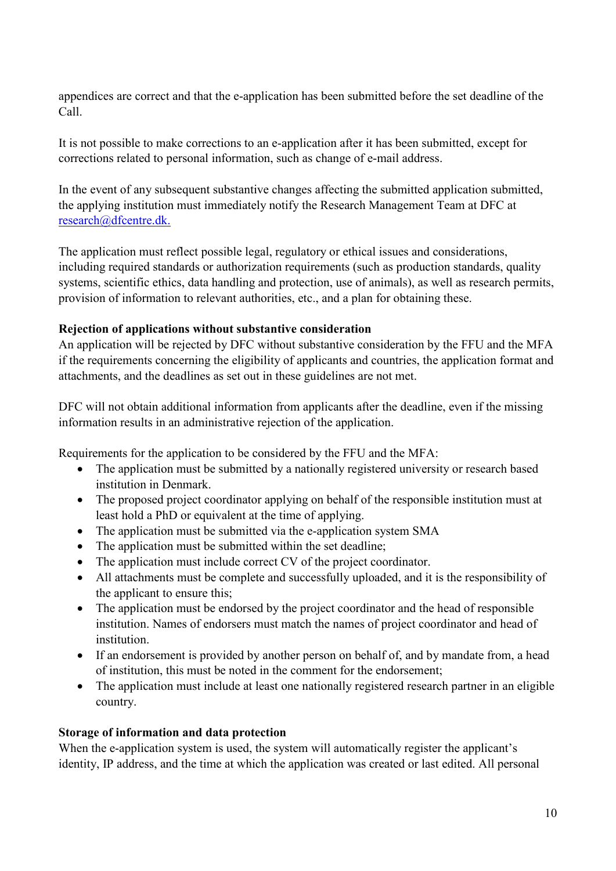appendices are correct and that the e-application has been submitted before the set deadline of the Call.

It is not possible to make corrections to an e-application after it has been submitted, except for corrections related to personal information, such as change of e-mail address.

In the event of any subsequent substantive changes affecting the submitted application submitted, the applying institution must immediately notify the Research Management Team at DFC at [research@dfcentre.dk.](mailto:research@dfcentre.dk)

The application must reflect possible legal, regulatory or ethical issues and considerations, including required standards or authorization requirements (such as production standards, quality systems, scientific ethics, data handling and protection, use of animals), as well as research permits, provision of information to relevant authorities, etc., and a plan for obtaining these.

#### **Rejection of applications without substantive consideration**

An application will be rejected by DFC without substantive consideration by the FFU and the MFA if the requirements concerning the eligibility of applicants and countries, the application format and attachments, and the deadlines as set out in these guidelines are not met.

DFC will not obtain additional information from applicants after the deadline, even if the missing information results in an administrative rejection of the application.

Requirements for the application to be considered by the FFU and the MFA:

- The application must be submitted by a nationally registered university or research based institution in Denmark.
- The proposed project coordinator applying on behalf of the responsible institution must at least hold a PhD or equivalent at the time of applying.
- The application must be submitted via the e-application system SMA
- The application must be submitted within the set deadline;
- The application must include correct CV of the project coordinator.
- All attachments must be complete and successfully uploaded, and it is the responsibility of the applicant to ensure this;
- The application must be endorsed by the project coordinator and the head of responsible institution. Names of endorsers must match the names of project coordinator and head of institution.
- If an endorsement is provided by another person on behalf of, and by mandate from, a head of institution, this must be noted in the comment for the endorsement;
- The application must include at least one nationally registered research partner in an eligible country.

## **Storage of information and data protection**

When the e-application system is used, the system will automatically register the applicant's identity, IP address, and the time at which the application was created or last edited. All personal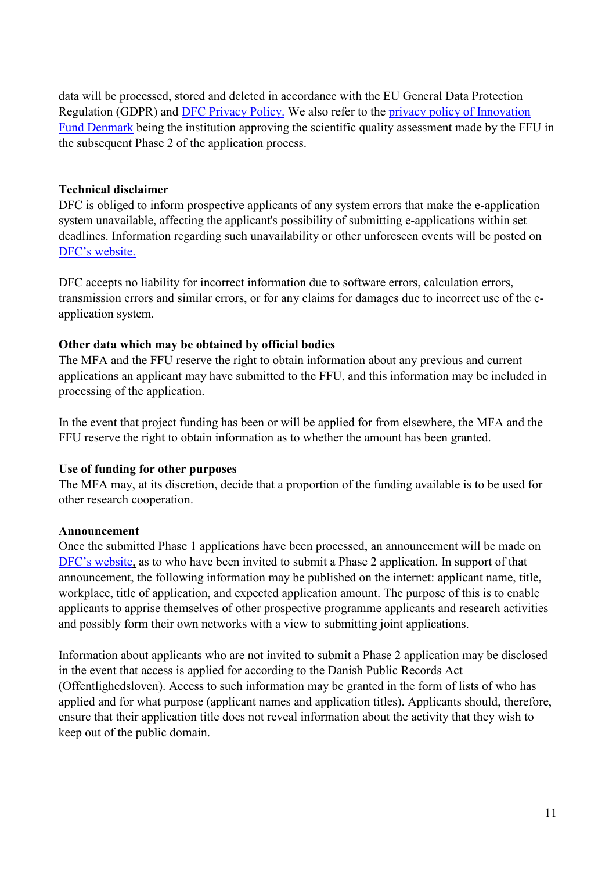data will be processed, stored and deleted in accordance with the EU General Data Protection Regulation (GDPR) and [DFC Privacy Policy.](https://dfcentre.com/privacy-policy/) We also refer to the [privacy policy of Innovation](https://innovationsfonden.dk/en/privatlivspolitik-innovationsfonden)  [Fund Denmark](https://innovationsfonden.dk/en/privatlivspolitik-innovationsfonden) being the institution approving the scientific quality assessment made by the FFU in the subsequent Phase 2 of the application process.

#### **Technical disclaimer**

DFC is obliged to inform prospective applicants of any system errors that make the e-application system unavailable, affecting the applicant's possibility of submitting e-applications within set deadlines. Information regarding such unavailability or other unforeseen events will be posted on DFC's [website.](http://dfcentre.com/research/calls-for-applications/)

DFC accepts no liability for incorrect information due to software errors, calculation errors, transmission errors and similar errors, or for any claims for damages due to incorrect use of the eapplication system.

## **Other data which may be obtained by official bodies**

The MFA and the FFU reserve the right to obtain information about any previous and current applications an applicant may have submitted to the FFU, and this information may be included in processing of the application.

In the event that project funding has been or will be applied for from elsewhere, the MFA and the FFU reserve the right to obtain information as to whether the amount has been granted.

## **Use of funding for other purposes**

The MFA may, at its discretion, decide that a proportion of the funding available is to be used for other research cooperation.

#### **Announcement**

Once the submitted Phase 1 applications have been processed, an announcement will be made on DFC's [website,](https://dfcentre.com/research/calls/) as to who have been invited to submit a Phase 2 application. In support of that announcement, the following information may be published on the internet: applicant name, title, workplace, title of application, and expected application amount. The purpose of this is to enable applicants to apprise themselves of other prospective programme applicants and research activities and possibly form their own networks with a view to submitting joint applications.

Information about applicants who are not invited to submit a Phase 2 application may be disclosed in the event that access is applied for according to the Danish Public Records Act (Offentlighedsloven). Access to such information may be granted in the form of lists of who has applied and for what purpose (applicant names and application titles). Applicants should, therefore, ensure that their application title does not reveal information about the activity that they wish to keep out of the public domain.